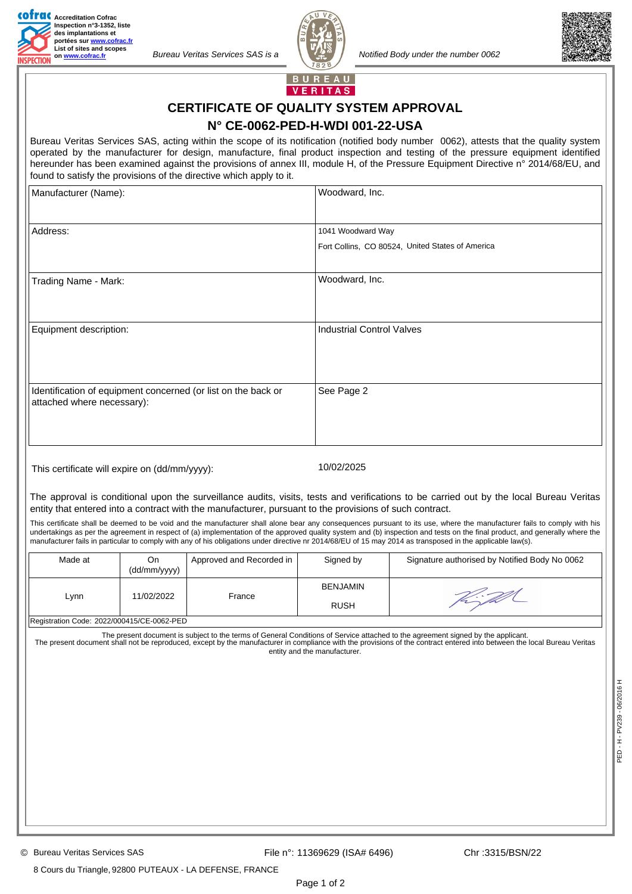

*Bureau Veritas Services SAS is a Notified Body under the number 0062* 





BUREAU **VERITAS** 

## **CERTIFICATE OF QUALITY SYSTEM APPROVAL N° CE-0062-PED-H-WDI 001-22-USA**

Bureau Veritas Services SAS, acting within the scope of its notification (notified body number 0062), attests that the quality system operated by the manufacturer for design, manufacture, final product inspection and testing of the pressure equipment identified hereunder has been examined against the provisions of annex III, module H, of the Pressure Equipment Directive n° 2014/68/EU, and found to satisfy the provisions of the directive which apply to it.

| Manufacturer (Name):                                          | Woodward, Inc.                                   |  |
|---------------------------------------------------------------|--------------------------------------------------|--|
|                                                               |                                                  |  |
| Address:                                                      | 1041 Woodward Way                                |  |
|                                                               | Fort Collins, CO 80524, United States of America |  |
|                                                               |                                                  |  |
| Trading Name - Mark:                                          | Woodward, Inc.                                   |  |
|                                                               |                                                  |  |
|                                                               |                                                  |  |
| Equipment description:                                        | <b>Industrial Control Valves</b>                 |  |
|                                                               |                                                  |  |
|                                                               |                                                  |  |
|                                                               |                                                  |  |
| Identification of equipment concerned (or list on the back or | See Page 2                                       |  |
| attached where necessary):                                    |                                                  |  |
|                                                               |                                                  |  |
|                                                               |                                                  |  |
|                                                               |                                                  |  |

This certificate will expire on (dd/mm/yyyy): 10/02/2025

The approval is conditional upon the surveillance audits, visits, tests and verifications to be carried out by the local Bureau Veritas entity that entered into a contract with the manufacturer, pursuant to the provisions of such contract.

This certificate shall be deemed to be void and the manufacturer shall alone bear any consequences pursuant to its use, where the manufacturer fails to comply with his undertakings as per the agreement in respect of (a) implementation of the approved quality system and (b) inspection and tests on the final product, and generally where the manufacturer fails in particular to comply with any of his obligations under directive nr 2014/68/EU of 15 may 2014 as transposed in the applicable law(s).

| Made at                                    | On<br>(dd/mm/yyyy) | Approved and Recorded in | Signed by                      | Signature authorised by Notified Body No 0062 |
|--------------------------------------------|--------------------|--------------------------|--------------------------------|-----------------------------------------------|
| Lynn                                       | 11/02/2022         | France                   | <b>BENJAMIN</b><br><b>RUSH</b> |                                               |
| Registration Code: 2022/000415/CE-0062-PED |                    |                          |                                |                                               |

The present document is subject to the terms of General Conditions of Service attached to the agreement signed by the applicant. The present document shall not be reproduced, except by the manufacturer in compliance with the provisions of the contract entered into between the local Bureau Veritas

entity and the manufacturer.

8 Cours du Triangle, 92800 PUTEAUX - LA DEFENSE, FRANCE